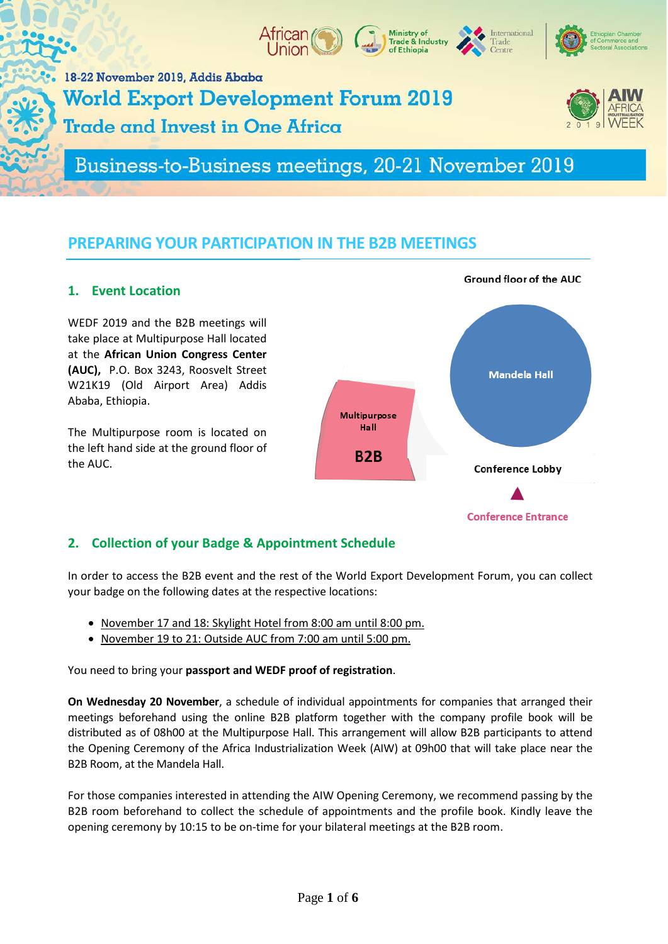

# Business-to-Business meetings, 20-21 November 2019

## **PREPARING YOUR PARTICIPATION IN THE B2B MEETINGS**

### **1. Event Location**

WEDF 2019 and the B2B meetings will take place at Multipurpose Hall located at the **African Union Congress Center (AUC),** P.O. Box 3243, Roosvelt Street W21K19 (Old Airport Area) Addis Ababa, Ethiopia.

The Multipurpose room is located on the left hand side at the ground floor of the AUC.



### **2. Collection of your Badge & Appointment Schedule**

In order to access the B2B event and the rest of the World Export Development Forum, you can collect your badge on the following dates at the respective locations:

- November 17 and 18: Skylight Hotel from 8:00 am until 8:00 pm.
- November 19 to 21: Outside AUC from 7:00 am until 5:00 pm.

You need to bring your **passport and WEDF proof of registration**.

**On Wednesday 20 November**, a schedule of individual appointments for companies that arranged their meetings beforehand using the online B2B platform together with the company profile book will be distributed as of 08h00 at the Multipurpose Hall. This arrangement will allow B2B participants to attend the Opening Ceremony of the Africa Industrialization Week (AIW) at 09h00 that will take place near the B2B Room, at the Mandela Hall.

For those companies interested in attending the AIW Opening Ceremony, we recommend passing by the B2B room beforehand to collect the schedule of appointments and the profile book. Kindly leave the opening ceremony by 10:15 to be on-time for your bilateral meetings at the B2B room.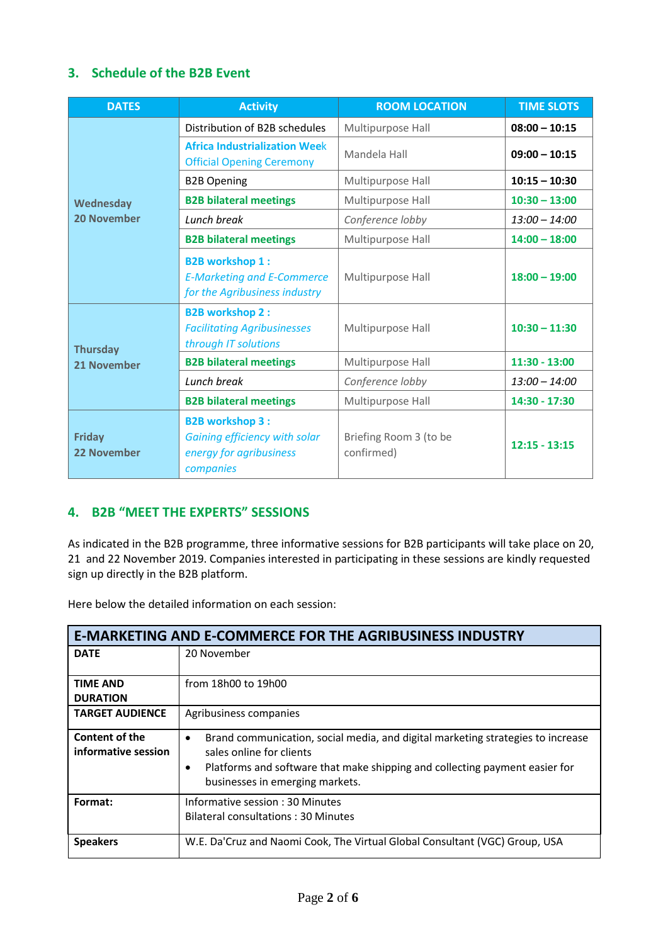## **3. Schedule of the B2B Event**

| <b>DATES</b>                        | <b>Activity</b>                                                                                 | <b>ROOM LOCATION</b>                 | <b>TIME SLOTS</b> |
|-------------------------------------|-------------------------------------------------------------------------------------------------|--------------------------------------|-------------------|
| Wednesday<br><b>20 November</b>     | Distribution of B2B schedules                                                                   | Multipurpose Hall                    | $08:00 - 10:15$   |
|                                     | <b>Africa Industrialization Week</b><br><b>Official Opening Ceremony</b>                        | Mandela Hall                         | $09:00 - 10:15$   |
|                                     | <b>B2B Opening</b>                                                                              | Multipurpose Hall                    | $10:15 - 10:30$   |
|                                     | <b>B2B bilateral meetings</b>                                                                   | Multipurpose Hall                    | $10:30 - 13:00$   |
|                                     | Lunch break                                                                                     | Conference lobby                     | $13:00 - 14:00$   |
|                                     | <b>B2B bilateral meetings</b>                                                                   | Multipurpose Hall                    | $14:00 - 18:00$   |
|                                     | <b>B2B workshop 1:</b><br><b>E-Marketing and E-Commerce</b><br>for the Agribusiness industry    | Multipurpose Hall                    | $18:00 - 19:00$   |
| <b>Thursday</b><br>21 November      | <b>B2B workshop 2:</b><br><b>Facilitating Agribusinesses</b><br>through IT solutions            | Multipurpose Hall                    | $10:30 - 11:30$   |
|                                     | <b>B2B bilateral meetings</b>                                                                   | Multipurpose Hall                    | $11:30 - 13:00$   |
|                                     | Lunch break                                                                                     | Conference lobby                     | $13:00 - 14:00$   |
|                                     | <b>B2B bilateral meetings</b>                                                                   | Multipurpose Hall                    | 14:30 - 17:30     |
| <b>Friday</b><br><b>22 November</b> | <b>B2B workshop 3:</b><br>Gaining efficiency with solar<br>energy for agribusiness<br>companies | Briefing Room 3 (to be<br>confirmed) | $12:15 - 13:15$   |

## **4. B2B "MEET THE EXPERTS" SESSIONS**

As indicated in the B2B programme, three informative sessions for B2B participants will take place on 20, 21 and 22 November 2019. Companies interested in participating in these sessions are kindly requested sign up directly in the B2B platform.

Here below the detailed information on each session:

| <b>E-MARKETING AND E-COMMERCE FOR THE AGRIBUSINESS INDUSTRY</b> |                                                                                                                                                                                                                                            |  |
|-----------------------------------------------------------------|--------------------------------------------------------------------------------------------------------------------------------------------------------------------------------------------------------------------------------------------|--|
| <b>DATE</b>                                                     | 20 November                                                                                                                                                                                                                                |  |
| <b>TIME AND</b><br><b>DURATION</b>                              | from 18h00 to 19h00                                                                                                                                                                                                                        |  |
| <b>TARGET AUDIENCE</b>                                          | Agribusiness companies                                                                                                                                                                                                                     |  |
| Content of the<br>informative session                           | Brand communication, social media, and digital marketing strategies to increase<br>$\bullet$<br>sales online for clients<br>Platforms and software that make shipping and collecting payment easier for<br>businesses in emerging markets. |  |
| Format:                                                         | Informative session: 30 Minutes<br>Bilateral consultations: 30 Minutes                                                                                                                                                                     |  |
| <b>Speakers</b>                                                 | W.E. Da'Cruz and Naomi Cook, The Virtual Global Consultant (VGC) Group, USA                                                                                                                                                                |  |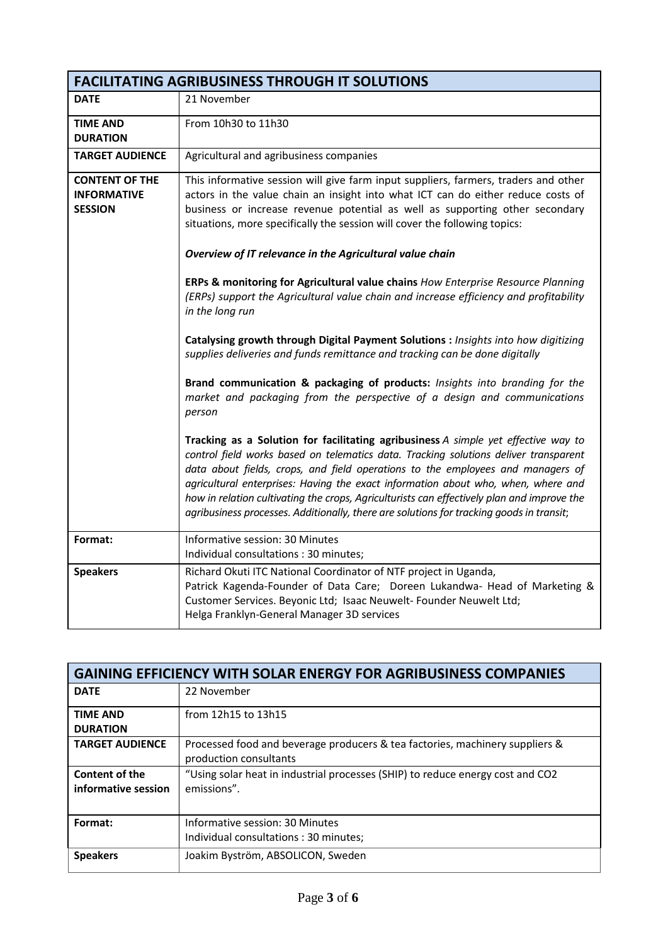| <b>FACILITATING AGRIBUSINESS THROUGH IT SOLUTIONS</b>         |                                                                                                                                                                                                                                                                                                                                                                                                                                                                                                                                                                                                                                                                                                                                                                                                                                                                                                                                                                                                                                                                                                                                                                                                                                                                                                                                                                                                                                                                                             |  |  |
|---------------------------------------------------------------|---------------------------------------------------------------------------------------------------------------------------------------------------------------------------------------------------------------------------------------------------------------------------------------------------------------------------------------------------------------------------------------------------------------------------------------------------------------------------------------------------------------------------------------------------------------------------------------------------------------------------------------------------------------------------------------------------------------------------------------------------------------------------------------------------------------------------------------------------------------------------------------------------------------------------------------------------------------------------------------------------------------------------------------------------------------------------------------------------------------------------------------------------------------------------------------------------------------------------------------------------------------------------------------------------------------------------------------------------------------------------------------------------------------------------------------------------------------------------------------------|--|--|
| <b>DATE</b>                                                   | 21 November                                                                                                                                                                                                                                                                                                                                                                                                                                                                                                                                                                                                                                                                                                                                                                                                                                                                                                                                                                                                                                                                                                                                                                                                                                                                                                                                                                                                                                                                                 |  |  |
| <b>TIME AND</b><br><b>DURATION</b>                            | From 10h30 to 11h30                                                                                                                                                                                                                                                                                                                                                                                                                                                                                                                                                                                                                                                                                                                                                                                                                                                                                                                                                                                                                                                                                                                                                                                                                                                                                                                                                                                                                                                                         |  |  |
| <b>TARGET AUDIENCE</b>                                        | Agricultural and agribusiness companies                                                                                                                                                                                                                                                                                                                                                                                                                                                                                                                                                                                                                                                                                                                                                                                                                                                                                                                                                                                                                                                                                                                                                                                                                                                                                                                                                                                                                                                     |  |  |
| <b>CONTENT OF THE</b><br><b>INFORMATIVE</b><br><b>SESSION</b> | This informative session will give farm input suppliers, farmers, traders and other<br>actors in the value chain an insight into what ICT can do either reduce costs of<br>business or increase revenue potential as well as supporting other secondary<br>situations, more specifically the session will cover the following topics:<br>Overview of IT relevance in the Agricultural value chain<br>ERPs & monitoring for Agricultural value chains How Enterprise Resource Planning<br>(ERPs) support the Agricultural value chain and increase efficiency and profitability<br>in the long run<br>Catalysing growth through Digital Payment Solutions : Insights into how digitizing<br>supplies deliveries and funds remittance and tracking can be done digitally<br>Brand communication & packaging of products: Insights into branding for the<br>market and packaging from the perspective of a design and communications<br>person<br>Tracking as a Solution for facilitating agribusiness A simple yet effective way to<br>control field works based on telematics data. Tracking solutions deliver transparent<br>data about fields, crops, and field operations to the employees and managers of<br>agricultural enterprises: Having the exact information about who, when, where and<br>how in relation cultivating the crops, Agriculturists can effectively plan and improve the<br>agribusiness processes. Additionally, there are solutions for tracking goods in transit; |  |  |
| Format:                                                       | Informative session: 30 Minutes<br>Individual consultations: 30 minutes;                                                                                                                                                                                                                                                                                                                                                                                                                                                                                                                                                                                                                                                                                                                                                                                                                                                                                                                                                                                                                                                                                                                                                                                                                                                                                                                                                                                                                    |  |  |
| <b>Speakers</b>                                               | Richard Okuti ITC National Coordinator of NTF project in Uganda,<br>Patrick Kagenda-Founder of Data Care; Doreen Lukandwa- Head of Marketing &<br>Customer Services. Beyonic Ltd; Isaac Neuwelt- Founder Neuwelt Ltd;<br>Helga Franklyn-General Manager 3D services                                                                                                                                                                                                                                                                                                                                                                                                                                                                                                                                                                                                                                                                                                                                                                                                                                                                                                                                                                                                                                                                                                                                                                                                                         |  |  |

| <b>GAINING EFFICIENCY WITH SOLAR ENERGY FOR AGRIBUSINESS COMPANIES</b> |                                                                                                        |  |
|------------------------------------------------------------------------|--------------------------------------------------------------------------------------------------------|--|
| <b>DATE</b>                                                            | 22 November                                                                                            |  |
| <b>TIME AND</b><br><b>DURATION</b>                                     | from 12h15 to 13h15                                                                                    |  |
| <b>TARGET AUDIENCE</b>                                                 | Processed food and beverage producers & tea factories, machinery suppliers &<br>production consultants |  |
| Content of the<br>informative session                                  | "Using solar heat in industrial processes (SHIP) to reduce energy cost and CO2<br>emissions".          |  |
| Format:                                                                | Informative session: 30 Minutes<br>Individual consultations: 30 minutes;                               |  |
| <b>Speakers</b>                                                        | Joakim Byström, ABSOLICON, Sweden                                                                      |  |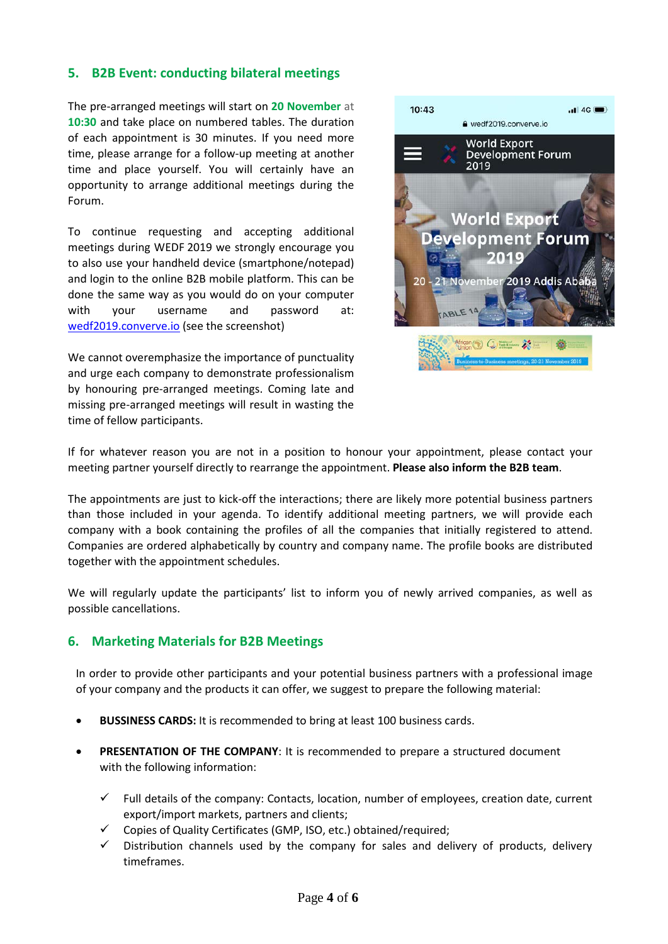### **5. B2B Event: conducting bilateral meetings**

The pre-arranged meetings will start on **20 November** at **10:30** and take place on numbered tables. The duration of each appointment is 30 minutes. If you need more time, please arrange for a follow-up meeting at another time and place yourself. You will certainly have an opportunity to arrange additional meetings during the Forum.

To continue requesting and accepting additional meetings during WEDF 2019 we strongly encourage you to also use your handheld device (smartphone/notepad) and login to the online B2B mobile platform. This can be done the same way as you would do on your computer with your username and password at: wedf2019.converve.io (see the screenshot)

We cannot overemphasize the importance of punctuality and urge each company to demonstrate professionalism by honouring pre-arranged meetings. Coming late and missing pre-arranged meetings will result in wasting the time of fellow participants.



If for whatever reason you are not in a position to honour your appointment, please contact your meeting partner yourself directly to rearrange the appointment. **Please also inform the B2B team**.

The appointments are just to kick-off the interactions; there are likely more potential business partners than those included in your agenda. To identify additional meeting partners, we will provide each company with a book containing the profiles of all the companies that initially registered to attend. Companies are ordered alphabetically by country and company name. The profile books are distributed together with the appointment schedules.

We will regularly update the participants' list to inform you of newly arrived companies, as well as possible cancellations.

### **6. Marketing Materials for B2B Meetings**

In order to provide other participants and your potential business partners with a professional image of your company and the products it can offer, we suggest to prepare the following material:

- **BUSSINESS CARDS:** It is recommended to bring at least 100 business cards.
- **PRESENTATION OF THE COMPANY**: It is recommended to prepare a structured document with the following information:
	- $\checkmark$  Full details of the company: Contacts, location, number of employees, creation date, current export/import markets, partners and clients;
	- $\checkmark$  Copies of Quality Certificates (GMP, ISO, etc.) obtained/required;
	- $\checkmark$  Distribution channels used by the company for sales and delivery of products, delivery timeframes.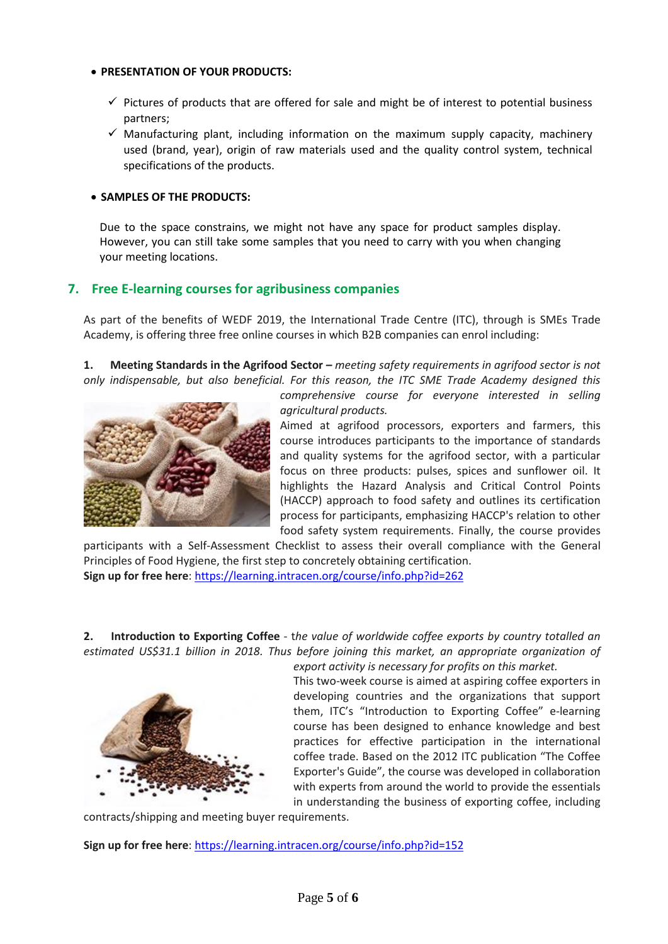#### • **PRESENTATION OF YOUR PRODUCTS:**

- $\checkmark$  Pictures of products that are offered for sale and might be of interest to potential business partners;
- $\checkmark$  Manufacturing plant, including information on the maximum supply capacity, machinery used (brand, year), origin of raw materials used and the quality control system, technical specifications of the products.

#### • **SAMPLES OF THE PRODUCTS:**

Due to the space constrains, we might not have any space for product samples display. However, you can still take some samples that you need to carry with you when changing your meeting locations.

### **7. Free E-learning courses for agribusiness companies**

As part of the benefits of WEDF 2019, the International Trade Centre (ITC), through is SMEs Trade Academy, is offering three free online courses in which B2B companies can enrol including:

**1. Meeting Standards in the Agrifood Sector –** *meeting safety requirements in agrifood sector is not only indispensable, but also beneficial. For this reason, the ITC SME Trade Academy designed this* 



*comprehensive course for everyone interested in selling agricultural products.* 

Aimed at agrifood processors, exporters and farmers, this course introduces participants to the importance of standards and quality systems for the agrifood sector, with a particular focus on three products: pulses, spices and sunflower oil. It highlights the Hazard Analysis and Critical Control Points (HACCP) approach to food safety and outlines its certification process for participants, emphasizing HACCP's relation to other food safety system requirements. Finally, the course provides

participants with a Self-Assessment Checklist to assess their overall compliance with the General Principles of Food Hygiene, the first step to concretely obtaining certification. **Sign up for free here**[: https://learning.intracen.org/course/info.php?id=262](https://learning.intracen.org/course/info.php?id=262)

**2. Introduction to Exporting Coffee** - t*he value of worldwide coffee exports by country totalled an estimated US\$31.1 billion in 2018. Thus before joining this market, an appropriate organization of* 



*export activity is necessary for profits on this market.*  This two-week course is aimed at aspiring coffee exporters in developing countries and the organizations that support them, ITC's "Introduction to Exporting Coffee" e-learning course has been designed to enhance knowledge and best practices for effective participation in the international coffee trade. Based on the 2012 ITC publication "The Coffee Exporter's Guide", the course was developed in collaboration with experts from around the world to provide the essentials in understanding the business of exporting coffee, including

contracts/shipping and meeting buyer requirements.

**Sign up for free here**[: https://learning.intracen.org/course/info.php?id=152](https://learning.intracen.org/course/info.php?id=152)